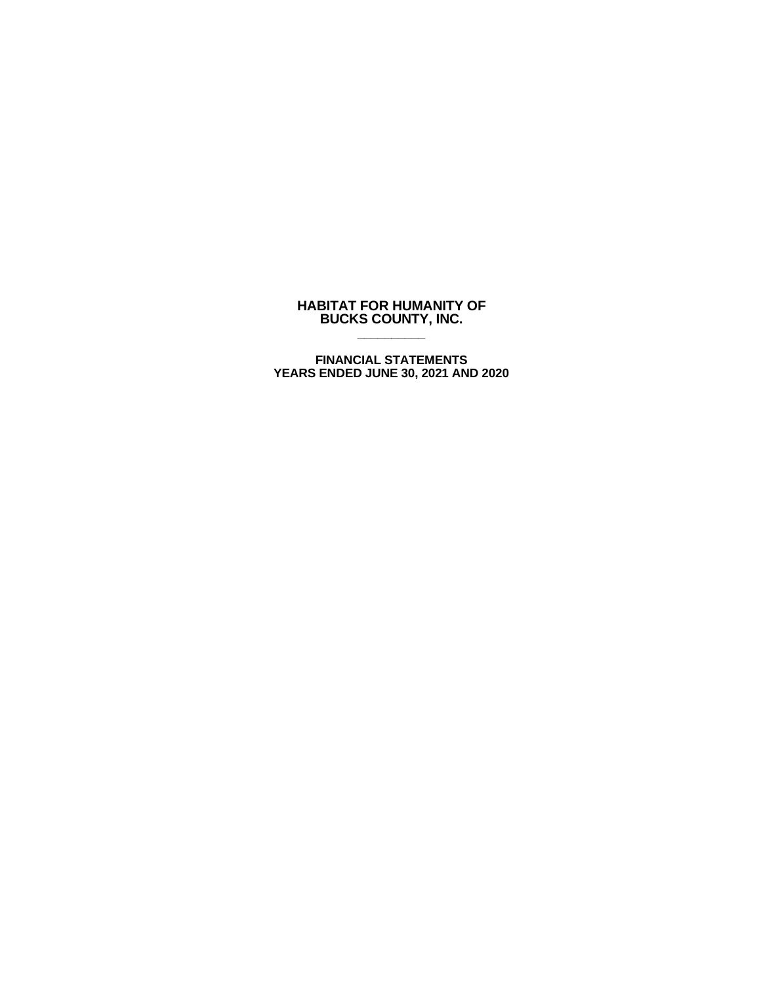# **HABITAT FOR HUMANITY OF BUCKS COUNTY, INC. \_\_\_\_\_\_\_\_\_\_**

**FINANCIAL STATEMENTS YEARS ENDED JUNE 30, 2021 AND 2020**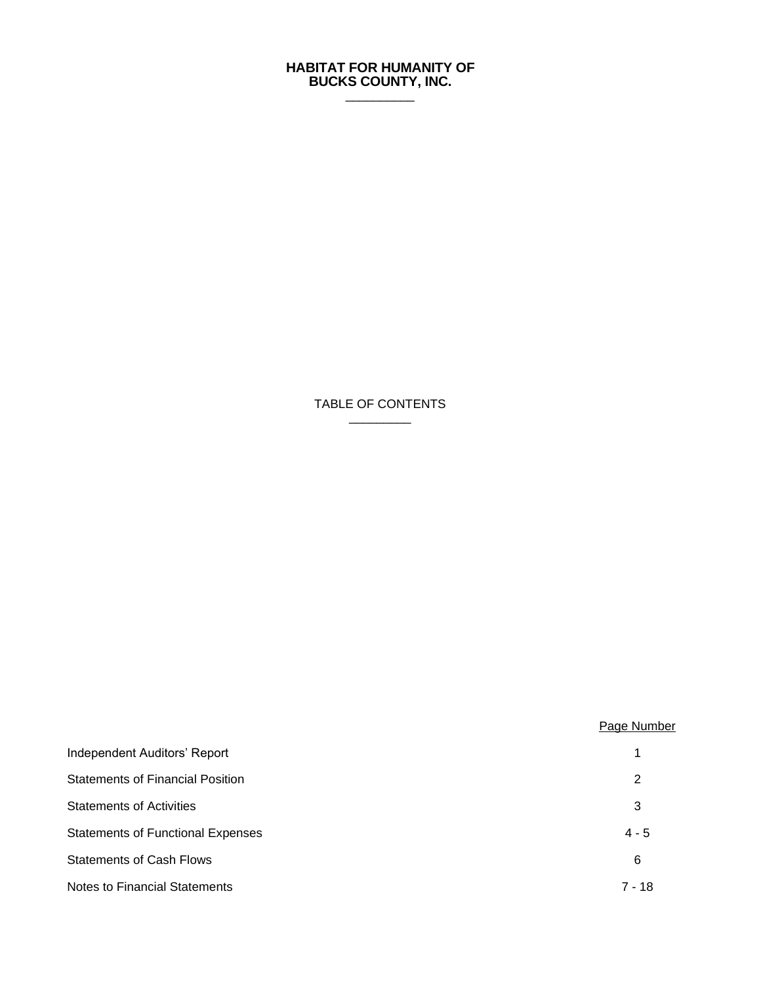## **HABITAT FOR HUMANITY OF BUCKS COUNTY, INC.**  $\frac{1}{2}$

TABLE OF CONTENTS  $\frac{1}{2}$  ,  $\frac{1}{2}$  ,  $\frac{1}{2}$  ,  $\frac{1}{2}$  ,  $\frac{1}{2}$  ,  $\frac{1}{2}$  ,  $\frac{1}{2}$  ,  $\frac{1}{2}$  ,  $\frac{1}{2}$  ,  $\frac{1}{2}$ 

|                                          | Page Number |
|------------------------------------------|-------------|
| Independent Auditors' Report             | 1           |
| <b>Statements of Financial Position</b>  | 2           |
| <b>Statements of Activities</b>          | 3           |
| <b>Statements of Functional Expenses</b> | $4 - 5$     |
| <b>Statements of Cash Flows</b>          | 6           |
| <b>Notes to Financial Statements</b>     | $7 - 18$    |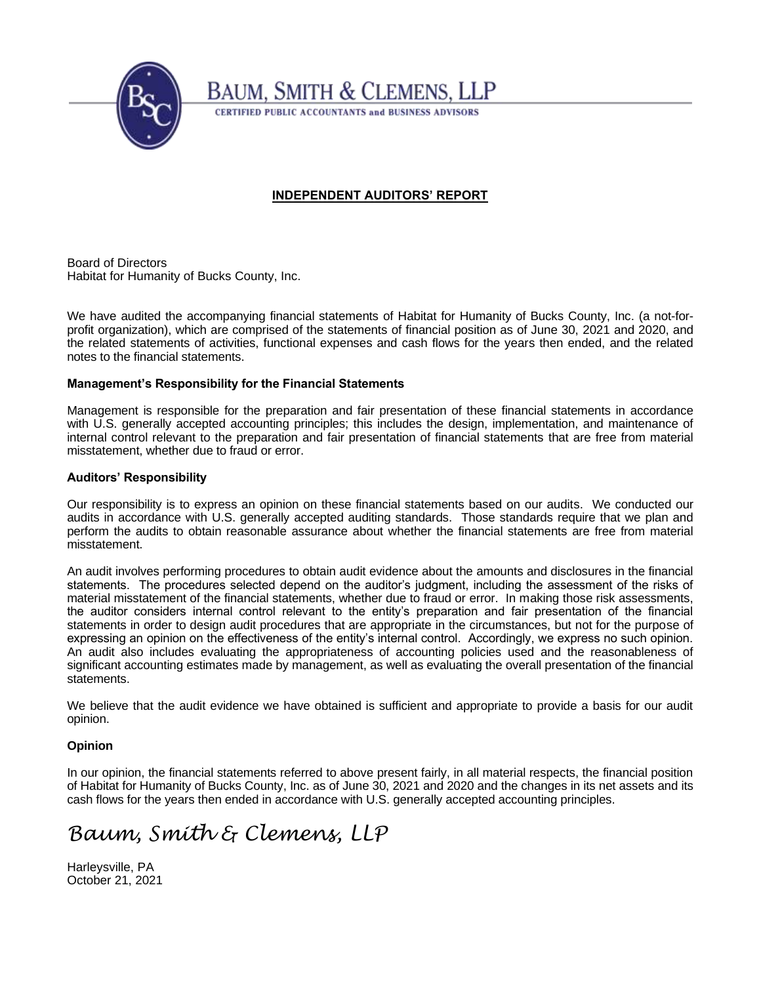

# **BAUM, SMITH & CLEMENS, LLP**

**CERTIFIED PUBLIC ACCOUNTANTS and BUSINESS ADVISORS** 

# **INDEPENDENT AUDITORS' REPORT**

Board of Directors Habitat for Humanity of Bucks County, Inc.

We have audited the accompanying financial statements of Habitat for Humanity of Bucks County, Inc. (a not-forprofit organization), which are comprised of the statements of financial position as of June 30, 2021 and 2020, and the related statements of activities, functional expenses and cash flows for the years then ended, and the related notes to the financial statements.

# **Management's Responsibility for the Financial Statements**

Management is responsible for the preparation and fair presentation of these financial statements in accordance with U.S. generally accepted accounting principles; this includes the design, implementation, and maintenance of internal control relevant to the preparation and fair presentation of financial statements that are free from material misstatement, whether due to fraud or error.

# **Auditors' Responsibility**

Our responsibility is to express an opinion on these financial statements based on our audits. We conducted our audits in accordance with U.S. generally accepted auditing standards. Those standards require that we plan and perform the audits to obtain reasonable assurance about whether the financial statements are free from material misstatement.

An audit involves performing procedures to obtain audit evidence about the amounts and disclosures in the financial statements. The procedures selected depend on the auditor's judgment, including the assessment of the risks of material misstatement of the financial statements, whether due to fraud or error. In making those risk assessments, the auditor considers internal control relevant to the entity's preparation and fair presentation of the financial statements in order to design audit procedures that are appropriate in the circumstances, but not for the purpose of expressing an opinion on the effectiveness of the entity's internal control. Accordingly, we express no such opinion. An audit also includes evaluating the appropriateness of accounting policies used and the reasonableness of significant accounting estimates made by management, as well as evaluating the overall presentation of the financial statements.

We believe that the audit evidence we have obtained is sufficient and appropriate to provide a basis for our audit opinion.

# **Opinion**

In our opinion, the financial statements referred to above present fairly, in all material respects, the financial position of Habitat for Humanity of Bucks County, Inc. as of June 30, 2021 and 2020 and the changes in its net assets and its cash flows for the years then ended in accordance with U.S. generally accepted accounting principles.

# *Baum, Smith & Clemens, LLP*

Harleysville, PA October 21, 2021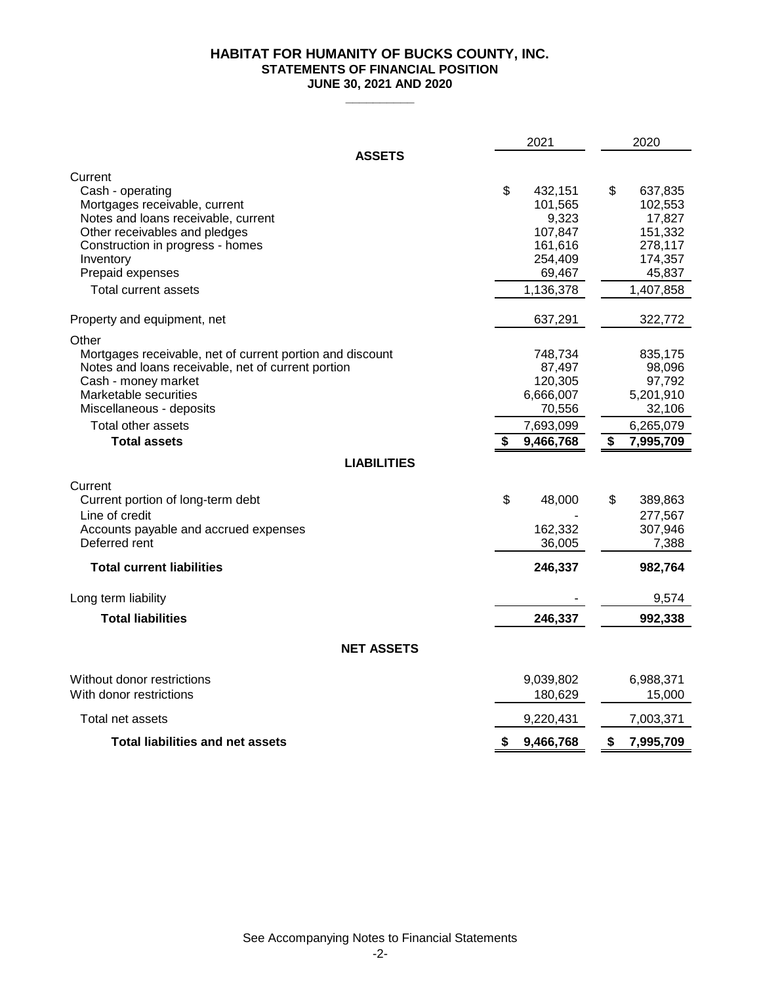# **HABITAT FOR HUMANITY OF BUCKS COUNTY, INC. STATEMENTS OF FINANCIAL POSITION JUNE 30, 2021 AND 2020**

|                                                                                                                                                                                                                                                   | 2021                                                                                | 2020                                                                               |  |  |  |  |
|---------------------------------------------------------------------------------------------------------------------------------------------------------------------------------------------------------------------------------------------------|-------------------------------------------------------------------------------------|------------------------------------------------------------------------------------|--|--|--|--|
| <b>ASSETS</b>                                                                                                                                                                                                                                     |                                                                                     |                                                                                    |  |  |  |  |
| Current<br>Cash - operating<br>Mortgages receivable, current<br>Notes and loans receivable, current<br>Other receivables and pledges<br>Construction in progress - homes                                                                          | \$<br>432,151<br>101,565<br>9,323<br>107,847<br>161,616                             | \$<br>637,835<br>102,553<br>17,827<br>151,332<br>278,117                           |  |  |  |  |
| Inventory<br>Prepaid expenses<br><b>Total current assets</b>                                                                                                                                                                                      | 254,409<br>69,467<br>1,136,378                                                      | 174,357<br>45,837<br>1,407,858                                                     |  |  |  |  |
| Property and equipment, net                                                                                                                                                                                                                       | 637,291                                                                             | 322,772                                                                            |  |  |  |  |
| Other<br>Mortgages receivable, net of current portion and discount<br>Notes and loans receivable, net of current portion<br>Cash - money market<br>Marketable securities<br>Miscellaneous - deposits<br>Total other assets<br><b>Total assets</b> | 748,734<br>87,497<br>120,305<br>6,666,007<br>70,556<br>7,693,099<br>\$<br>9,466,768 | 835,175<br>98,096<br>97,792<br>5,201,910<br>32,106<br>6,265,079<br>\$<br>7,995,709 |  |  |  |  |
| <b>LIABILITIES</b>                                                                                                                                                                                                                                |                                                                                     |                                                                                    |  |  |  |  |
| Current<br>Current portion of long-term debt<br>Line of credit<br>Accounts payable and accrued expenses<br>Deferred rent                                                                                                                          | \$<br>48,000<br>162,332<br>36,005                                                   | \$<br>389,863<br>277,567<br>307,946<br>7,388                                       |  |  |  |  |
| <b>Total current liabilities</b>                                                                                                                                                                                                                  | 246,337                                                                             | 982,764                                                                            |  |  |  |  |
| Long term liability                                                                                                                                                                                                                               |                                                                                     | 9,574                                                                              |  |  |  |  |
| <b>Total liabilities</b>                                                                                                                                                                                                                          | 246,337                                                                             | 992,338                                                                            |  |  |  |  |
| <b>NET ASSETS</b>                                                                                                                                                                                                                                 |                                                                                     |                                                                                    |  |  |  |  |
| Without donor restrictions<br>With donor restrictions                                                                                                                                                                                             | 9,039,802<br>180,629                                                                | 6,988,371<br>15,000                                                                |  |  |  |  |
| Total net assets                                                                                                                                                                                                                                  | 9,220,431                                                                           | 7,003,371                                                                          |  |  |  |  |
| <b>Total liabilities and net assets</b>                                                                                                                                                                                                           | 9,466,768<br>S                                                                      | \$<br>7,995,709                                                                    |  |  |  |  |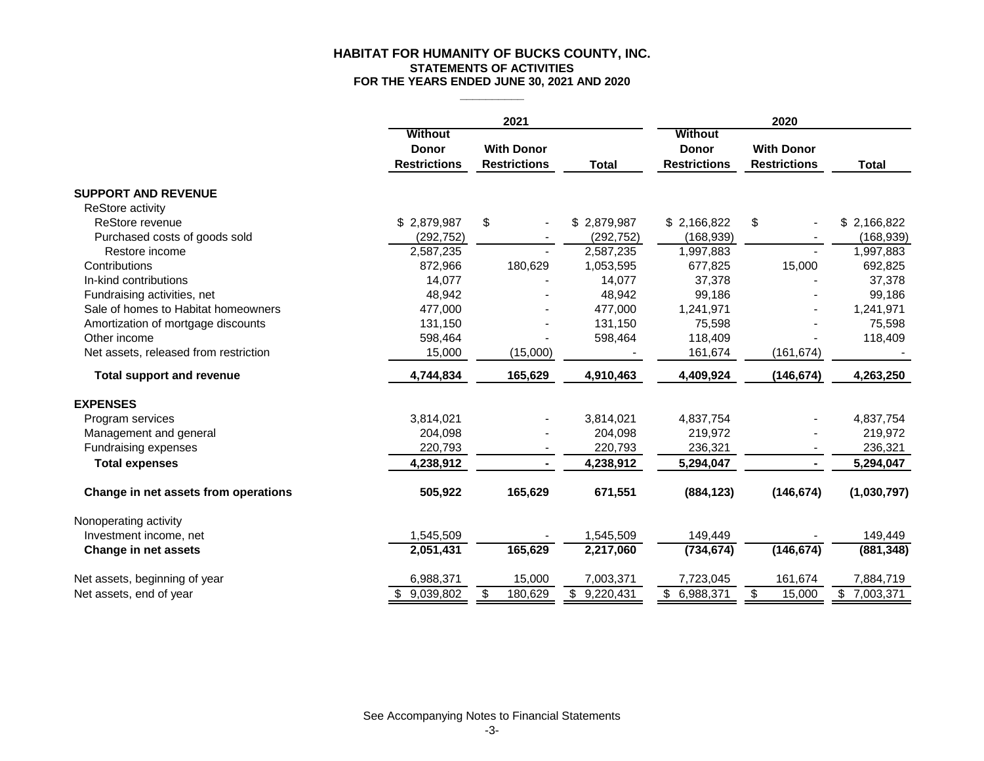## **FOR THE YEARS ENDED JUNE 30, 2021 AND 2020 HABITAT FOR HUMANITY OF BUCKS COUNTY, INC. STATEMENTS OF ACTIVITIES**

|                                       |                     | 2021                |                           |                        | 2020                     |                           |  |  |
|---------------------------------------|---------------------|---------------------|---------------------------|------------------------|--------------------------|---------------------------|--|--|
|                                       | <b>Without</b>      |                     |                           | <b>Without</b>         |                          |                           |  |  |
|                                       | <b>Donor</b>        | <b>With Donor</b>   |                           | <b>Donor</b>           | <b>With Donor</b>        |                           |  |  |
|                                       | <b>Restrictions</b> | <b>Restrictions</b> | <b>Total</b>              | <b>Restrictions</b>    | <b>Restrictions</b>      | <b>Total</b>              |  |  |
| <b>SUPPORT AND REVENUE</b>            |                     |                     |                           |                        |                          |                           |  |  |
| ReStore activity                      |                     |                     |                           |                        |                          |                           |  |  |
| ReStore revenue                       | \$2,879,987         | \$                  | \$2,879,987               | \$2,166,822            | \$                       | \$2,166,822               |  |  |
| Purchased costs of goods sold         | (292, 752)          |                     | (292, 752)                | (168, 939)             |                          | (168, 939)                |  |  |
| Restore income                        | 2,587,235           |                     | 2,587,235                 | 1,997,883              |                          | 1,997,883                 |  |  |
| Contributions                         | 872,966             | 180,629             | 1,053,595                 | 677,825                | 15,000                   | 692,825                   |  |  |
| In-kind contributions                 | 14,077              |                     | 14,077                    | 37,378                 |                          | 37,378                    |  |  |
| Fundraising activities, net           | 48,942              |                     | 48,942                    | 99,186                 |                          | 99,186                    |  |  |
| Sale of homes to Habitat homeowners   | 477,000             |                     | 477,000                   | 1,241,971              |                          | 1,241,971                 |  |  |
| Amortization of mortgage discounts    | 131,150             |                     | 131,150                   | 75,598                 |                          | 75,598                    |  |  |
| Other income                          | 598,464             |                     | 598,464                   | 118,409                |                          | 118,409                   |  |  |
| Net assets, released from restriction | 15,000              | (15,000)            |                           | 161,674                | (161, 674)               |                           |  |  |
| <b>Total support and revenue</b>      | 4,744,834           | 165,629             | 4,910,463                 | 4,409,924              | (146, 674)               | 4,263,250                 |  |  |
| <b>EXPENSES</b>                       |                     |                     |                           |                        |                          |                           |  |  |
| Program services                      | 3,814,021           |                     | 3,814,021                 | 4,837,754              |                          | 4,837,754                 |  |  |
| Management and general                | 204,098             |                     | 204,098                   | 219,972                |                          | 219,972                   |  |  |
| Fundraising expenses                  | 220,793             |                     | 220,793                   | 236,321                |                          | 236,321                   |  |  |
| <b>Total expenses</b>                 | 4,238,912           | $\blacksquare$      | 4,238,912                 | 5,294,047              | $\blacksquare$           | 5,294,047                 |  |  |
| Change in net assets from operations  | 505,922             | 165,629             | 671,551                   | (884, 123)             | (146, 674)               | (1,030,797)               |  |  |
| Nonoperating activity                 |                     |                     |                           |                        |                          |                           |  |  |
| Investment income, net                | 1,545,509           |                     | 1,545,509                 | 149,449                |                          | 149,449                   |  |  |
| Change in net assets                  | 2,051,431           | 165,629             | 2,217,060                 | (734, 674)             | (146, 674)               | (881, 348)                |  |  |
| Net assets, beginning of year         | 6,988,371           | 15,000              | 7,003,371                 | 7,723,045              | 161,674                  | 7,884,719                 |  |  |
| Net assets, end of year               | \$9,039,802         | 180,629<br>\$       | $\overline{\$}$ 9,220,431 | $\overline{6,988,371}$ | $\mathfrak{S}$<br>15,000 | $\overline{\$}$ 7,003,371 |  |  |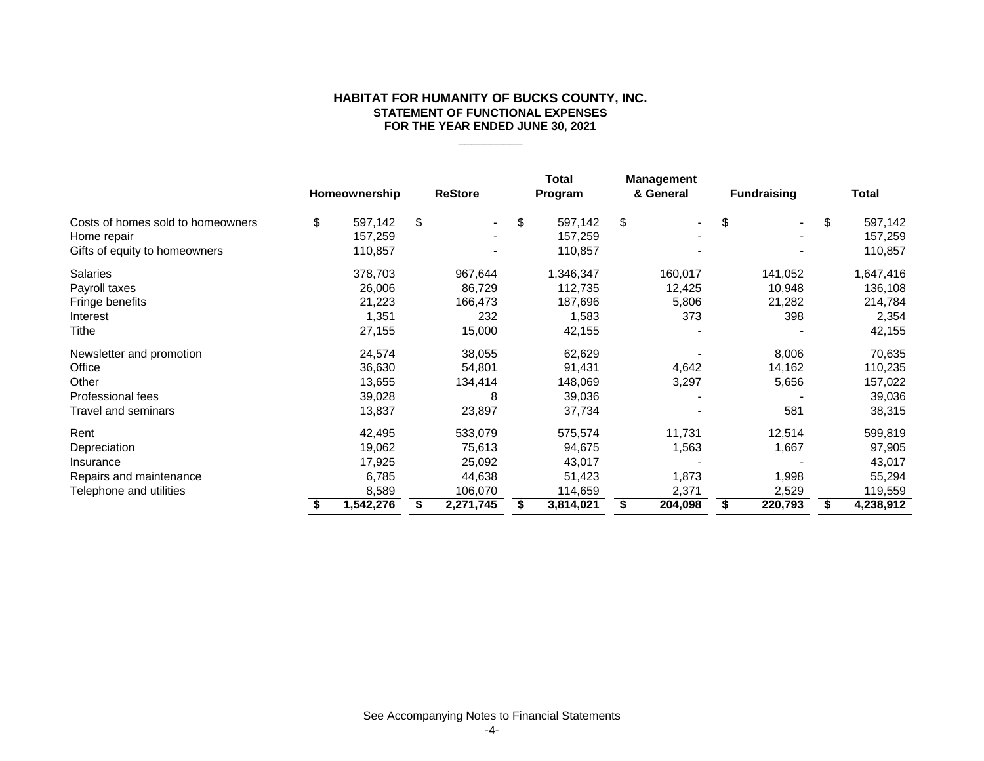## **HABITAT FOR HUMANITY OF BUCKS COUNTY, INC. STATEMENT OF FUNCTIONAL EXPENSES FOR THE YEAR ENDED JUNE 30, 2021**

|                                   | Homeownership | <b>ReStore</b> | Total<br>Program | <b>Management</b><br>& General |    | <b>Fundraising</b> | <b>Total</b>  |
|-----------------------------------|---------------|----------------|------------------|--------------------------------|----|--------------------|---------------|
| Costs of homes sold to homeowners | \$<br>597,142 | \$             | \$<br>597,142    | \$                             | \$ | $\blacksquare$     | \$<br>597,142 |
| Home repair                       | 157,259       |                | 157,259          |                                |    |                    | 157,259       |
| Gifts of equity to homeowners     | 110,857       |                | 110,857          |                                |    |                    | 110,857       |
| <b>Salaries</b>                   | 378,703       | 967,644        | 1,346,347        | 160,017                        |    | 141,052            | 1,647,416     |
| Payroll taxes                     | 26,006        | 86,729         | 112,735          | 12,425                         |    | 10,948             | 136,108       |
| Fringe benefits                   | 21,223        | 166,473        | 187,696          | 5,806                          |    | 21,282             | 214,784       |
| Interest                          | 1,351         | 232            | 1,583            | 373                            |    | 398                | 2,354         |
| Tithe                             | 27,155        | 15,000         | 42,155           |                                |    |                    | 42,155        |
| Newsletter and promotion          | 24,574        | 38,055         | 62,629           |                                |    | 8,006              | 70,635        |
| Office                            | 36,630        | 54,801         | 91,431           | 4,642                          |    | 14,162             | 110,235       |
| Other                             | 13,655        | 134,414        | 148,069          | 3,297                          |    | 5,656              | 157,022       |
| Professional fees                 | 39,028        | 8              | 39,036           |                                |    |                    | 39,036        |
| Travel and seminars               | 13,837        | 23,897         | 37,734           |                                |    | 581                | 38,315        |
| Rent                              | 42,495        | 533,079        | 575,574          | 11,731                         |    | 12,514             | 599,819       |
| Depreciation                      | 19,062        | 75,613         | 94,675           | 1,563                          |    | 1,667              | 97,905        |
| Insurance                         | 17,925        | 25,092         | 43,017           |                                |    |                    | 43,017        |
| Repairs and maintenance           | 6,785         | 44,638         | 51,423           | 1,873                          |    | 1,998              | 55,294        |
| Telephone and utilities           | 8,589         | 106,070        | 114,659          | 2,371                          |    | 2,529              | 119,559       |
|                                   | 1,542,276     | 2,271,745      | 3,814,021        | 204,098                        | S  | 220,793            | 4,238,912     |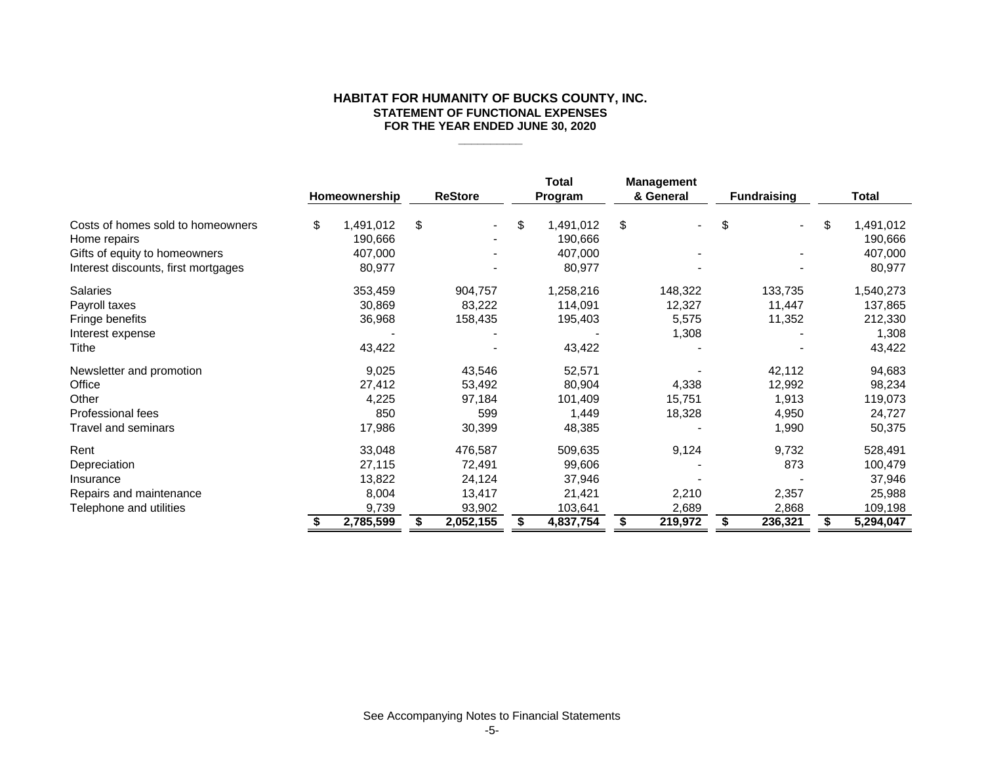## **HABITAT FOR HUMANITY OF BUCKS COUNTY, INC. STATEMENT OF FUNCTIONAL EXPENSES FOR THE YEAR ENDED JUNE 30, 2020**

|                                     | Homeownership   | <b>ReStore</b> | Total<br>Program | <b>Management</b><br>& General | <b>Fundraising</b>   | Total           |
|-------------------------------------|-----------------|----------------|------------------|--------------------------------|----------------------|-----------------|
| Costs of homes sold to homeowners   | \$<br>1,491,012 | \$             | \$<br>1,491,012  | \$                             | \$<br>$\blacksquare$ | \$<br>1,491,012 |
| Home repairs                        | 190,666         |                | 190,666          |                                |                      | 190,666         |
| Gifts of equity to homeowners       | 407,000         |                | 407,000          |                                |                      | 407,000         |
| Interest discounts, first mortgages | 80,977          |                | 80,977           |                                |                      | 80,977          |
| Salaries                            | 353,459         | 904,757        | 1,258,216        | 148,322                        | 133,735              | 1,540,273       |
| Payroll taxes                       | 30,869          | 83,222         | 114,091          | 12,327                         | 11,447               | 137,865         |
| Fringe benefits                     | 36,968          | 158,435        | 195,403          | 5,575                          | 11,352               | 212,330         |
| Interest expense                    |                 |                |                  | 1,308                          |                      | 1,308           |
| Tithe                               | 43,422          |                | 43,422           |                                |                      | 43,422          |
| Newsletter and promotion            | 9,025           | 43,546         | 52,571           |                                | 42,112               | 94,683          |
| Office                              | 27,412          | 53,492         | 80,904           | 4,338                          | 12,992               | 98,234          |
| Other                               | 4,225           | 97,184         | 101,409          | 15,751                         | 1,913                | 119,073         |
| Professional fees                   | 850             | 599            | 1,449            | 18,328                         | 4,950                | 24,727          |
| Travel and seminars                 | 17,986          | 30,399         | 48,385           |                                | 1,990                | 50,375          |
| Rent                                | 33,048          | 476,587        | 509,635          | 9,124                          | 9,732                | 528,491         |
| Depreciation                        | 27,115          | 72,491         | 99,606           |                                | 873                  | 100,479         |
| Insurance                           | 13,822          | 24,124         | 37,946           |                                |                      | 37,946          |
| Repairs and maintenance             | 8,004           | 13,417         | 21,421           | 2,210                          | 2,357                | 25,988          |
| Telephone and utilities             | 9,739           | 93,902         | 103,641          | 2,689                          | 2,868                | 109,198         |
|                                     | 2,785,599       | 2,052,155      | 4,837,754        | \$<br>219,972                  | \$<br>236,321        | 5,294,047       |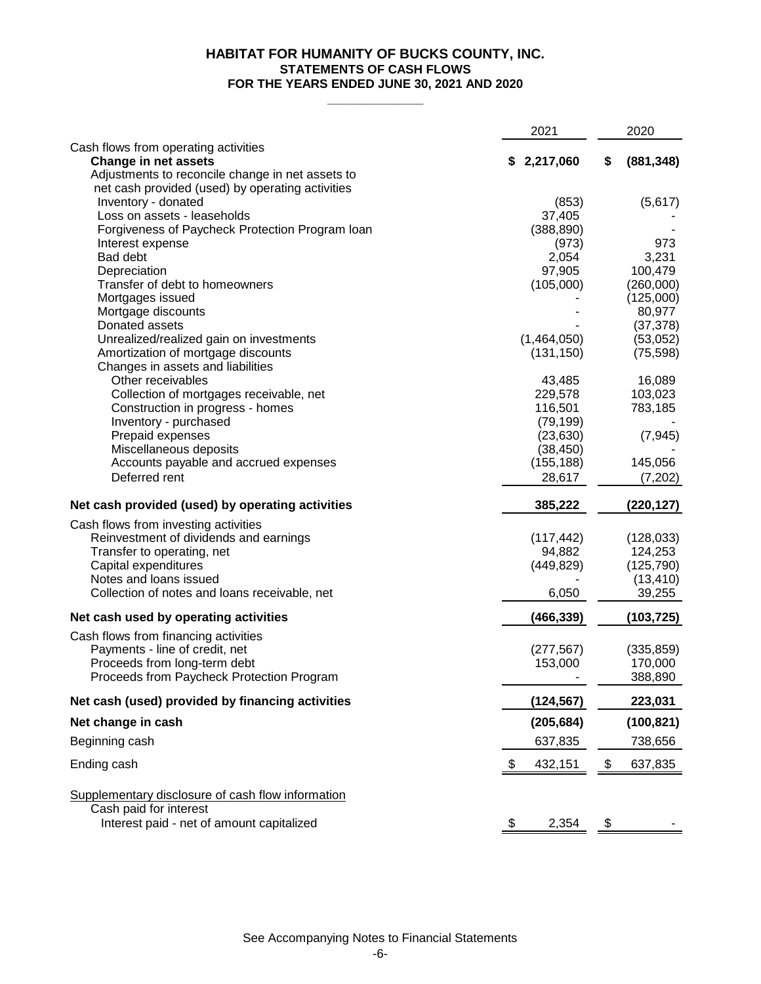# **FOR THE YEARS ENDED JUNE 30, 2021 AND 2020 STATEMENTS OF CASH FLOWS HABITAT FOR HUMANITY OF BUCKS COUNTY, INC.**

**\_\_\_\_\_\_\_\_\_\_\_\_\_\_**

|                                                                                 | 2021          | 2020                  |
|---------------------------------------------------------------------------------|---------------|-----------------------|
| Cash flows from operating activities                                            |               |                       |
| <b>Change in net assets</b><br>Adjustments to reconcile change in net assets to | \$2,217,060   | (881, 348)<br>\$      |
| net cash provided (used) by operating activities                                |               |                       |
| Inventory - donated                                                             | (853)         | (5,617)               |
| Loss on assets - leaseholds                                                     | 37,405        |                       |
| Forgiveness of Paycheck Protection Program Ioan                                 | (388, 890)    |                       |
| Interest expense                                                                | (973)         | 973                   |
| Bad debt                                                                        | 2,054         | 3,231                 |
| Depreciation                                                                    | 97,905        | 100,479               |
| Transfer of debt to homeowners                                                  | (105,000)     | (260,000)             |
| Mortgages issued                                                                |               | (125,000)             |
| Mortgage discounts                                                              |               | 80,977                |
| Donated assets<br>Unrealized/realized gain on investments                       | (1,464,050)   | (37, 378)<br>(53,052) |
| Amortization of mortgage discounts                                              | (131, 150)    | (75, 598)             |
| Changes in assets and liabilities                                               |               |                       |
| Other receivables                                                               | 43,485        | 16,089                |
| Collection of mortgages receivable, net                                         | 229,578       | 103,023               |
| Construction in progress - homes                                                | 116,501       | 783,185               |
| Inventory - purchased                                                           | (79, 199)     |                       |
| Prepaid expenses                                                                | (23, 630)     | (7, 945)              |
| Miscellaneous deposits                                                          | (38, 450)     |                       |
| Accounts payable and accrued expenses                                           | (155, 188)    | 145,056               |
| Deferred rent                                                                   | 28,617        | (7,202)               |
| Net cash provided (used) by operating activities                                | 385,222       | (220, 127)            |
| Cash flows from investing activities                                            |               |                       |
| Reinvestment of dividends and earnings                                          | (117, 442)    | (128, 033)            |
| Transfer to operating, net                                                      | 94,882        | 124,253               |
| Capital expenditures                                                            | (449, 829)    | (125, 790)            |
| Notes and loans issued                                                          |               | (13, 410)             |
| Collection of notes and loans receivable, net                                   | 6,050         | 39,255                |
| Net cash used by operating activities                                           | (466, 339)    | (103, 725)            |
| Cash flows from financing activities                                            |               |                       |
| Payments - line of credit, net                                                  | (277, 567)    | (335, 859)            |
| Proceeds from long-term debt                                                    | 153,000       | 170,000               |
| Proceeds from Paycheck Protection Program                                       |               | 388,890               |
| Net cash (used) provided by financing activities                                | (124, 567)    | 223,031               |
| Net change in cash                                                              | (205, 684)    | (100, 821)            |
| Beginning cash                                                                  | 637,835       | 738,656               |
| Ending cash                                                                     | \$<br>432,151 | \$<br>637,835         |
|                                                                                 |               |                       |
| Supplementary disclosure of cash flow information                               |               |                       |
| Cash paid for interest                                                          |               |                       |
| Interest paid - net of amount capitalized                                       | \$<br>2,354   | \$                    |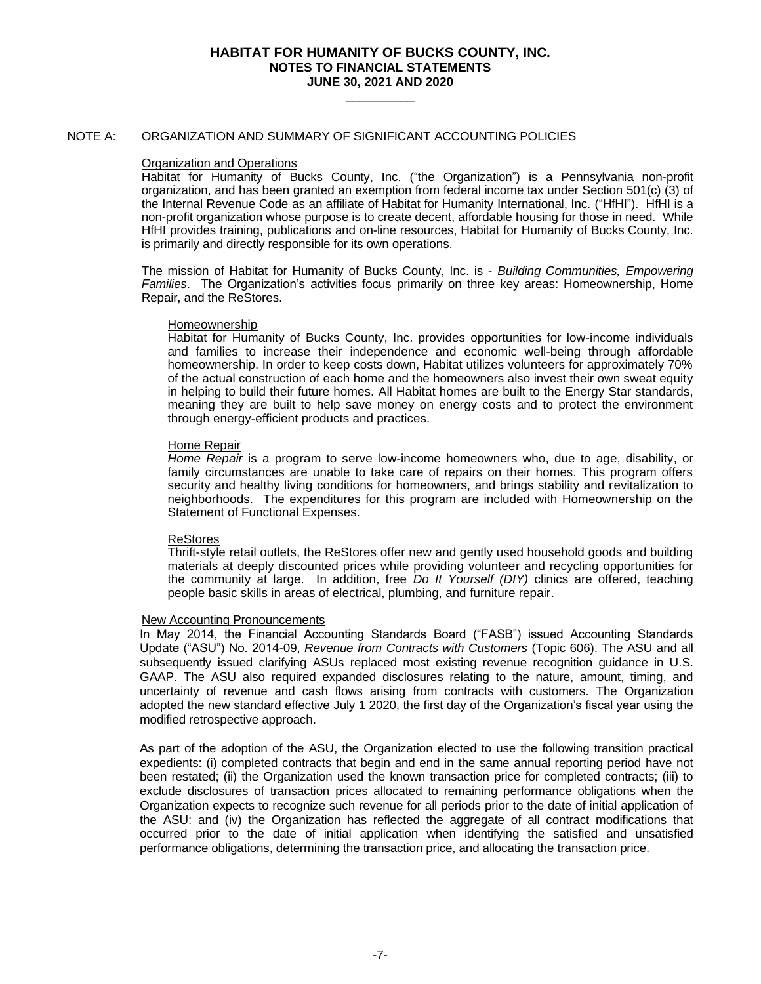**\_\_\_\_\_\_\_\_\_\_**

## NOTE A: ORGANIZATION AND SUMMARY OF SIGNIFICANT ACCOUNTING POLICIES

## Organization and Operations

Habitat for Humanity of Bucks County, Inc. ("the Organization") is a Pennsylvania non-profit organization, and has been granted an exemption from federal income tax under Section 501(c) (3) of the Internal Revenue Code as an affiliate of Habitat for Humanity International, Inc. ("HfHI"). HfHI is a non-profit organization whose purpose is to create decent, affordable housing for those in need. While HfHI provides training, publications and on-line resources, Habitat for Humanity of Bucks County, Inc. is primarily and directly responsible for its own operations.

The mission of Habitat for Humanity of Bucks County, Inc. is - *Building Communities, Empowering Families*. The Organization's activities focus primarily on three key areas: Homeownership, Home Repair, and the ReStores.

#### Homeownership

Habitat for Humanity of Bucks County, Inc. provides opportunities for low-income individuals and families to increase their independence and economic well-being through affordable homeownership. In order to keep costs down, Habitat utilizes volunteers for approximately 70% of the actual construction of each home and the homeowners also invest their own sweat equity in helping to build their future homes. All Habitat homes are built to the Energy Star standards, meaning they are built to help save money on energy costs and to protect the environment through energy-efficient products and practices.

## Home Repair

*Home Repair* is a program to serve low-income homeowners who, due to age, disability, or family circumstances are unable to take care of repairs on their homes. This program offers security and healthy living conditions for homeowners, and brings stability and revitalization to neighborhoods. The expenditures for this program are included with Homeownership on the Statement of Functional Expenses.

## ReStores

Thrift-style retail outlets, the ReStores offer new and gently used household goods and building materials at deeply discounted prices while providing volunteer and recycling opportunities for the community at large. In addition, free *Do It Yourself (DIY)* clinics are offered, teaching people basic skills in areas of electrical, plumbing, and furniture repair.

## New Accounting Pronouncements

In May 2014, the Financial Accounting Standards Board ("FASB") issued Accounting Standards Update ("ASU") No. 2014-09, *Revenue from Contracts with Customers* (Topic 606). The ASU and all subsequently issued clarifying ASUs replaced most existing revenue recognition guidance in U.S. GAAP. The ASU also required expanded disclosures relating to the nature, amount, timing, and uncertainty of revenue and cash flows arising from contracts with customers. The Organization adopted the new standard effective July 1 2020, the first day of the Organization's fiscal year using the modified retrospective approach.

As part of the adoption of the ASU, the Organization elected to use the following transition practical expedients: (i) completed contracts that begin and end in the same annual reporting period have not been restated; (ii) the Organization used the known transaction price for completed contracts; (iii) to exclude disclosures of transaction prices allocated to remaining performance obligations when the Organization expects to recognize such revenue for all periods prior to the date of initial application of the ASU: and (iv) the Organization has reflected the aggregate of all contract modifications that occurred prior to the date of initial application when identifying the satisfied and unsatisfied performance obligations, determining the transaction price, and allocating the transaction price.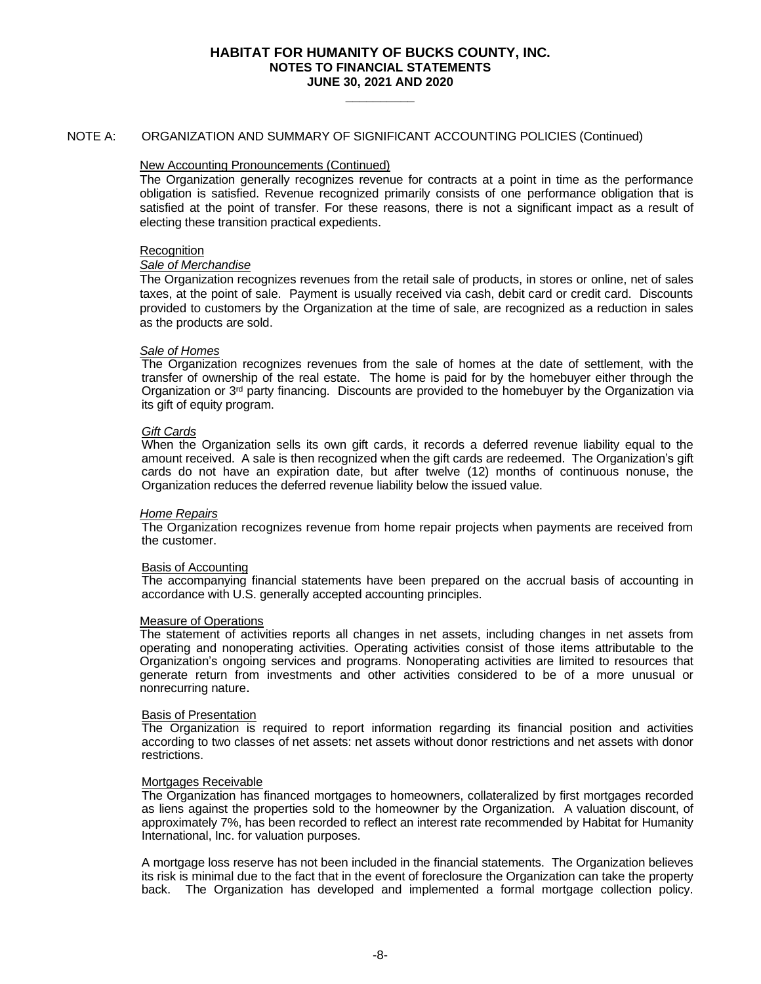**\_\_\_\_\_\_\_\_\_\_**

## NOTE A: ORGANIZATION AND SUMMARY OF SIGNIFICANT ACCOUNTING POLICIES (Continued)

## New Accounting Pronouncements (Continued)

The Organization generally recognizes revenue for contracts at a point in time as the performance obligation is satisfied. Revenue recognized primarily consists of one performance obligation that is satisfied at the point of transfer. For these reasons, there is not a significant impact as a result of electing these transition practical expedients.

## **Recognition**

## *Sale of Merchandise*

The Organization recognizes revenues from the retail sale of products, in stores or online, net of sales taxes, at the point of sale. Payment is usually received via cash, debit card or credit card. Discounts provided to customers by the Organization at the time of sale, are recognized as a reduction in sales as the products are sold.

## *Sale of Homes*

The Organization recognizes revenues from the sale of homes at the date of settlement, with the transfer of ownership of the real estate. The home is paid for by the homebuyer either through the Organization or  $3<sup>rd</sup>$  party financing. Discounts are provided to the homebuyer by the Organization via its gift of equity program.

## *Gift Cards*

When the Organization sells its own gift cards, it records a deferred revenue liability equal to the amount received. A sale is then recognized when the gift cards are redeemed. The Organization's gift cards do not have an expiration date, but after twelve (12) months of continuous nonuse, the Organization reduces the deferred revenue liability below the issued value.

#### *Home Repairs*

The Organization recognizes revenue from home repair projects when payments are received from the customer.

#### Basis of Accounting

The accompanying financial statements have been prepared on the accrual basis of accounting in accordance with U.S. generally accepted accounting principles.

#### Measure of Operations

The statement of activities reports all changes in net assets, including changes in net assets from operating and nonoperating activities. Operating activities consist of those items attributable to the Organization's ongoing services and programs. Nonoperating activities are limited to resources that generate return from investments and other activities considered to be of a more unusual or nonrecurring nature.

#### Basis of Presentation

The Organization is required to report information regarding its financial position and activities according to two classes of net assets: net assets without donor restrictions and net assets with donor restrictions.

## Mortgages Receivable

The Organization has financed mortgages to homeowners, collateralized by first mortgages recorded as liens against the properties sold to the homeowner by the Organization. A valuation discount, of approximately 7%, has been recorded to reflect an interest rate recommended by Habitat for Humanity International, Inc. for valuation purposes.

A mortgage loss reserve has not been included in the financial statements. The Organization believes its risk is minimal due to the fact that in the event of foreclosure the Organization can take the property back. The Organization has developed and implemented a formal mortgage collection policy.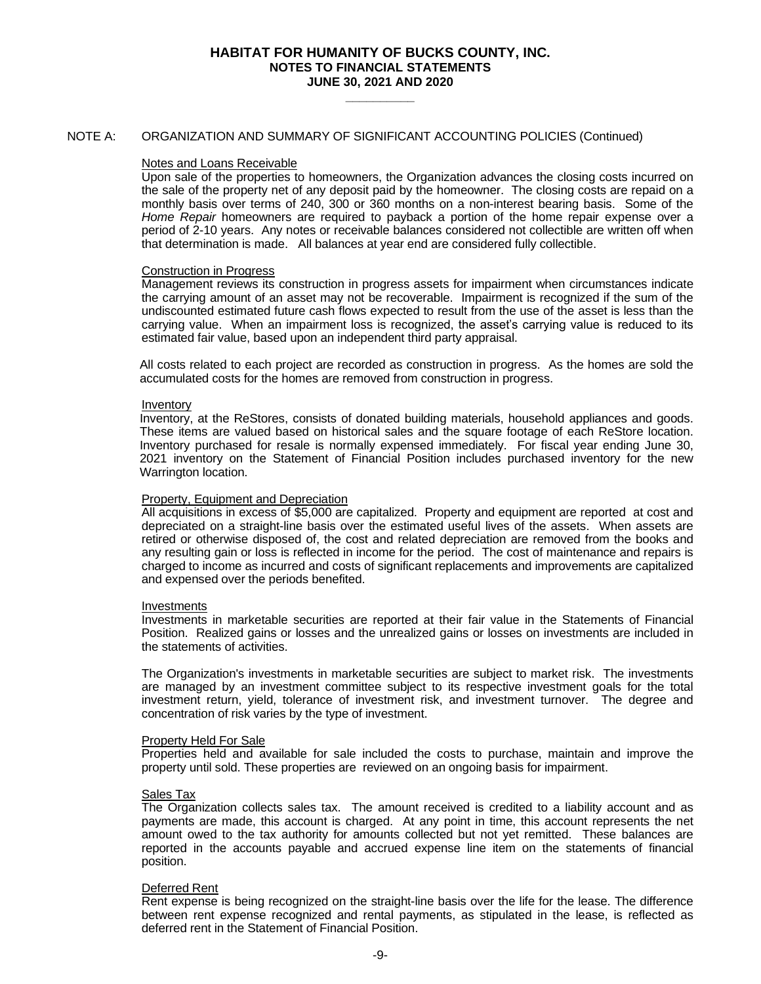**\_\_\_\_\_\_\_\_\_\_**

## NOTE A: ORGANIZATION AND SUMMARY OF SIGNIFICANT ACCOUNTING POLICIES (Continued)

#### Notes and Loans Receivable

Upon sale of the properties to homeowners, the Organization advances the closing costs incurred on the sale of the property net of any deposit paid by the homeowner. The closing costs are repaid on a monthly basis over terms of 240, 300 or 360 months on a non-interest bearing basis. Some of the *Home Repair* homeowners are required to payback a portion of the home repair expense over a period of 2-10 years. Any notes or receivable balances considered not collectible are written off when that determination is made. All balances at year end are considered fully collectible.

## Construction in Progress

Management reviews its construction in progress assets for impairment when circumstances indicate the carrying amount of an asset may not be recoverable. Impairment is recognized if the sum of the undiscounted estimated future cash flows expected to result from the use of the asset is less than the carrying value. When an impairment loss is recognized, the asset's carrying value is reduced to its estimated fair value, based upon an independent third party appraisal.

All costs related to each project are recorded as construction in progress. As the homes are sold the accumulated costs for the homes are removed from construction in progress.

#### Inventory

Inventory, at the ReStores, consists of donated building materials, household appliances and goods. These items are valued based on historical sales and the square footage of each ReStore location. Inventory purchased for resale is normally expensed immediately. For fiscal year ending June 30, 2021 inventory on the Statement of Financial Position includes purchased inventory for the new Warrington location.

## Property, Equipment and Depreciation

All acquisitions in excess of \$5,000 are capitalized. Property and equipment are reported at cost and depreciated on a straight-line basis over the estimated useful lives of the assets. When assets are retired or otherwise disposed of, the cost and related depreciation are removed from the books and any resulting gain or loss is reflected in income for the period. The cost of maintenance and repairs is charged to income as incurred and costs of significant replacements and improvements are capitalized and expensed over the periods benefited.

#### Investments

Investments in marketable securities are reported at their fair value in the Statements of Financial Position. Realized gains or losses and the unrealized gains or losses on investments are included in the statements of activities.

The Organization's investments in marketable securities are subject to market risk. The investments are managed by an investment committee subject to its respective investment goals for the total investment return, yield, tolerance of investment risk, and investment turnover. The degree and concentration of risk varies by the type of investment.

#### Property Held For Sale

Properties held and available for sale included the costs to purchase, maintain and improve the property until sold. These properties are reviewed on an ongoing basis for impairment.

#### Sales Tax

The Organization collects sales tax. The amount received is credited to a liability account and as payments are made, this account is charged. At any point in time, this account represents the net amount owed to the tax authority for amounts collected but not yet remitted. These balances are reported in the accounts payable and accrued expense line item on the statements of financial position.

## Deferred Rent

Rent expense is being recognized on the straight-line basis over the life for the lease. The difference between rent expense recognized and rental payments, as stipulated in the lease, is reflected as deferred rent in the Statement of Financial Position.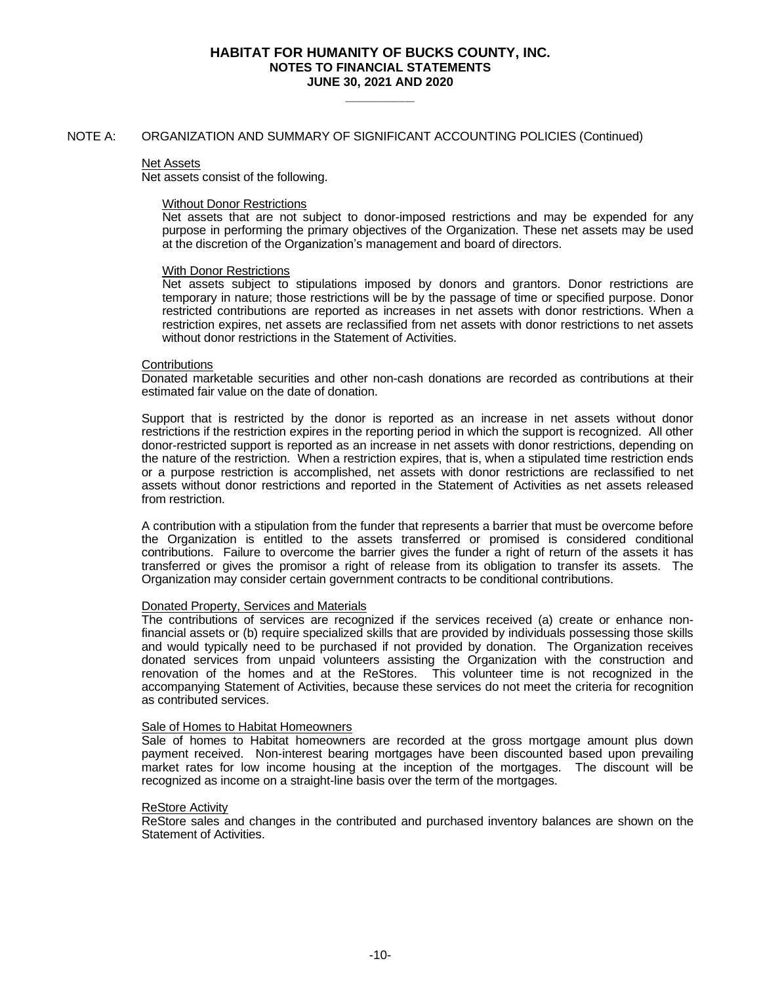**\_\_\_\_\_\_\_\_\_\_**

## NOTE A: ORGANIZATION AND SUMMARY OF SIGNIFICANT ACCOUNTING POLICIES (Continued)

#### Net Assets

Net assets consist of the following.

#### Without Donor Restrictions

Net assets that are not subject to donor-imposed restrictions and may be expended for any purpose in performing the primary objectives of the Organization. These net assets may be used at the discretion of the Organization's management and board of directors.

#### With Donor Restrictions

Net assets subject to stipulations imposed by donors and grantors. Donor restrictions are temporary in nature; those restrictions will be by the passage of time or specified purpose. Donor restricted contributions are reported as increases in net assets with donor restrictions. When a restriction expires, net assets are reclassified from net assets with donor restrictions to net assets without donor restrictions in the Statement of Activities.

#### **Contributions**

Donated marketable securities and other non-cash donations are recorded as contributions at their estimated fair value on the date of donation.

Support that is restricted by the donor is reported as an increase in net assets without donor restrictions if the restriction expires in the reporting period in which the support is recognized. All other donor-restricted support is reported as an increase in net assets with donor restrictions, depending on the nature of the restriction. When a restriction expires, that is, when a stipulated time restriction ends or a purpose restriction is accomplished, net assets with donor restrictions are reclassified to net assets without donor restrictions and reported in the Statement of Activities as net assets released from restriction.

A contribution with a stipulation from the funder that represents a barrier that must be overcome before the Organization is entitled to the assets transferred or promised is considered conditional contributions. Failure to overcome the barrier gives the funder a right of return of the assets it has transferred or gives the promisor a right of release from its obligation to transfer its assets. The Organization may consider certain government contracts to be conditional contributions.

## Donated Property, Services and Materials

The contributions of services are recognized if the services received (a) create or enhance nonfinancial assets or (b) require specialized skills that are provided by individuals possessing those skills and would typically need to be purchased if not provided by donation. The Organization receives donated services from unpaid volunteers assisting the Organization with the construction and renovation of the homes and at the ReStores. This volunteer time is not recognized in the accompanying Statement of Activities, because these services do not meet the criteria for recognition as contributed services.

#### Sale of Homes to Habitat Homeowners

Sale of homes to Habitat homeowners are recorded at the gross mortgage amount plus down payment received. Non-interest bearing mortgages have been discounted based upon prevailing market rates for low income housing at the inception of the mortgages. The discount will be recognized as income on a straight-line basis over the term of the mortgages.

#### ReStore Activity

ReStore sales and changes in the contributed and purchased inventory balances are shown on the Statement of Activities.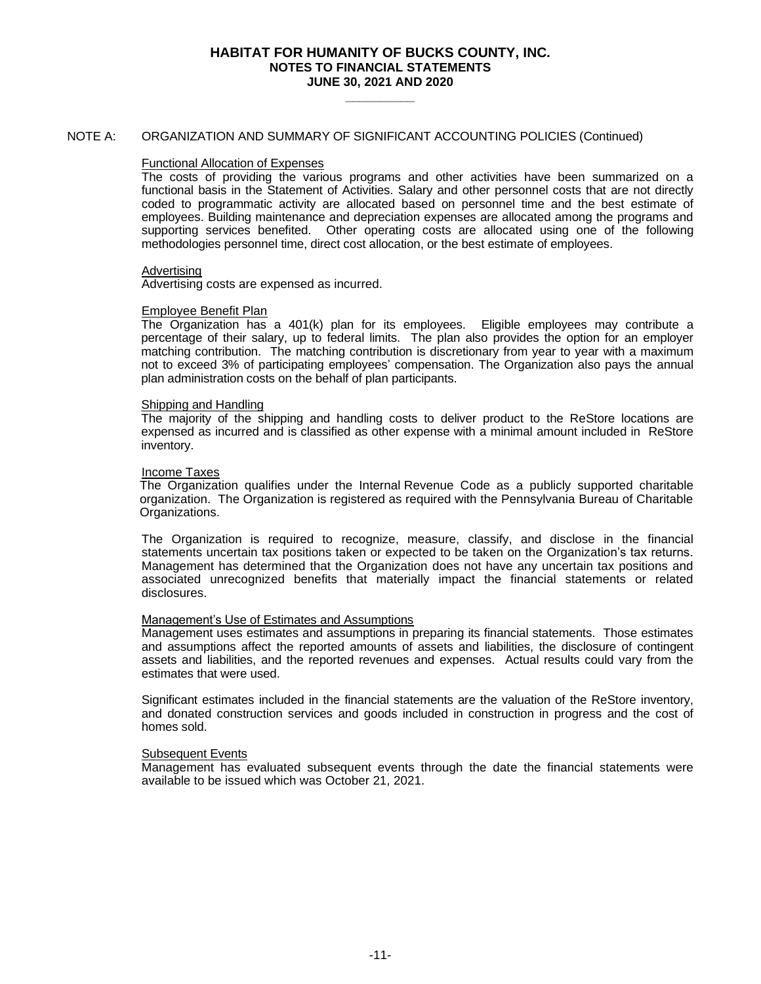**\_\_\_\_\_\_\_\_\_\_**

## NOTE A: ORGANIZATION AND SUMMARY OF SIGNIFICANT ACCOUNTING POLICIES (Continued)

#### Functional Allocation of Expenses

The costs of providing the various programs and other activities have been summarized on a functional basis in the Statement of Activities. Salary and other personnel costs that are not directly coded to programmatic activity are allocated based on personnel time and the best estimate of employees. Building maintenance and depreciation expenses are allocated among the programs and supporting services benefited. Other operating costs are allocated using one of the following methodologies personnel time, direct cost allocation, or the best estimate of employees.

#### Advertising

Advertising costs are expensed as incurred.

## Employee Benefit Plan

The Organization has a 401(k) plan for its employees. Eligible employees may contribute a percentage of their salary, up to federal limits. The plan also provides the option for an employer matching contribution. The matching contribution is discretionary from year to year with a maximum not to exceed 3% of participating employees' compensation. The Organization also pays the annual plan administration costs on the behalf of plan participants.

#### Shipping and Handling

The majority of the shipping and handling costs to deliver product to the ReStore locations are expensed as incurred and is classified as other expense with a minimal amount included in ReStore inventory.

#### Income Taxes

The Organization qualifies under the Internal Revenue Code as a publicly supported charitable organization. The Organization is registered as required with the Pennsylvania Bureau of Charitable Organizations.

The Organization is required to recognize, measure, classify, and disclose in the financial statements uncertain tax positions taken or expected to be taken on the Organization's tax returns. Management has determined that the Organization does not have any uncertain tax positions and associated unrecognized benefits that materially impact the financial statements or related disclosures.

## Management's Use of Estimates and Assumptions

Management uses estimates and assumptions in preparing its financial statements. Those estimates and assumptions affect the reported amounts of assets and liabilities, the disclosure of contingent assets and liabilities, and the reported revenues and expenses. Actual results could vary from the estimates that were used.

Significant estimates included in the financial statements are the valuation of the ReStore inventory, and donated construction services and goods included in construction in progress and the cost of homes sold.

#### Subsequent Events

Management has evaluated subsequent events through the date the financial statements were available to be issued which was October 21, 2021.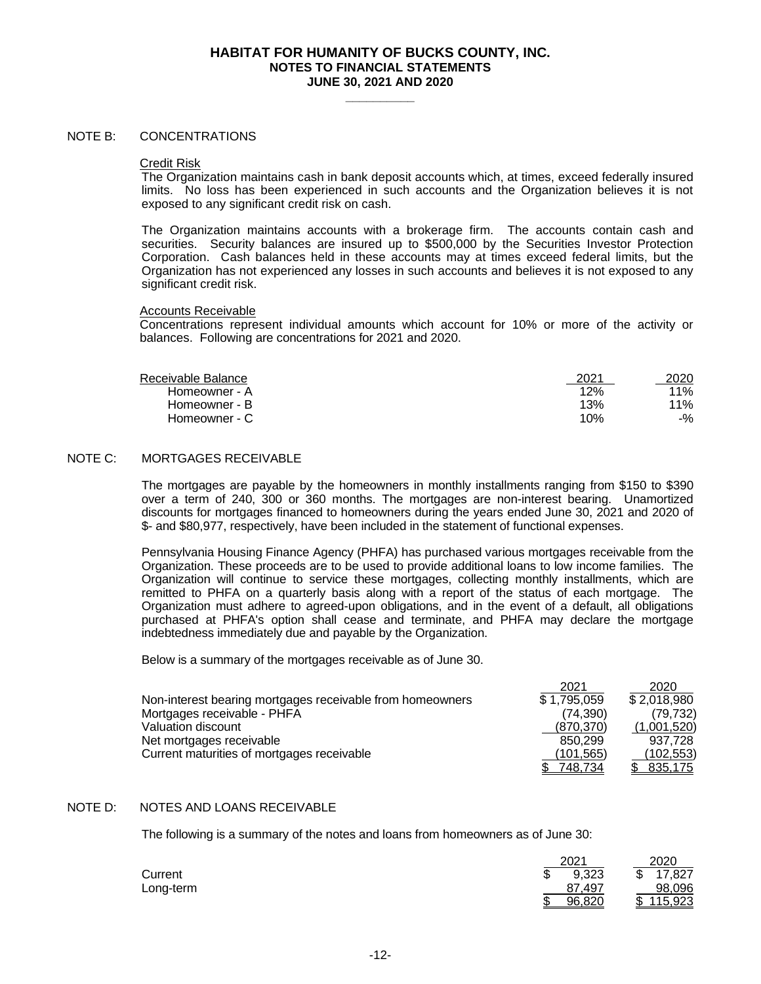**\_\_\_\_\_\_\_\_\_\_**

## NOTE B: CONCENTRATIONS

#### Credit Risk

The Organization maintains cash in bank deposit accounts which, at times, exceed federally insured limits. No loss has been experienced in such accounts and the Organization believes it is not exposed to any significant credit risk on cash.

The Organization maintains accounts with a brokerage firm. The accounts contain cash and securities. Security balances are insured up to \$500,000 by the Securities Investor Protection Corporation. Cash balances held in these accounts may at times exceed federal limits, but the Organization has not experienced any losses in such accounts and believes it is not exposed to any significant credit risk.

#### Accounts Receivable

Concentrations represent individual amounts which account for 10% or more of the activity or balances. Following are concentrations for 2021 and 2020.

| Receivable Balance | 2021 | 2020 |
|--------------------|------|------|
| Homeowner - A      | 12%  | 11%  |
| Homeowner - B      | 13%  | 11%  |

# NOTE C: MORTGAGES RECEIVABLE

The mortgages are payable by the homeowners in monthly installments ranging from \$150 to \$390 over a term of 240, 300 or 360 months. The mortgages are non-interest bearing. Unamortized discounts for mortgages financed to homeowners during the years ended June 30, 2021 and 2020 of \$- and \$80,977, respectively, have been included in the statement of functional expenses.

Homeowner - C 10% -%

Pennsylvania Housing Finance Agency (PHFA) has purchased various mortgages receivable from the Organization. These proceeds are to be used to provide additional loans to low income families. The Organization will continue to service these mortgages, collecting monthly installments, which are remitted to PHFA on a quarterly basis along with a report of the status of each mortgage. The Organization must adhere to agreed-upon obligations, and in the event of a default, all obligations purchased at PHFA's option shall cease and terminate, and PHFA may declare the mortgage indebtedness immediately due and payable by the Organization.

Below is a summary of the mortgages receivable as of June 30.

|                                                           | 2021        | 2020        |
|-----------------------------------------------------------|-------------|-------------|
| Non-interest bearing mortgages receivable from homeowners | \$1,795,059 | \$2,018,980 |
| Mortgages receivable - PHFA                               | (74.390)    | (79, 732)   |
| Valuation discount                                        | (870, 370)  | (1,001,520) |
| Net mortgages receivable                                  | 850.299     | 937.728     |
| Current maturities of mortgages receivable                | (101, 565)  | (102, 553)  |
|                                                           | 748.734     | 835.175     |

## NOTE D: NOTES AND LOANS RECEIVABLE

The following is a summary of the notes and loans from homeowners as of June 30:

|           |     | 2021       | 2020          |
|-----------|-----|------------|---------------|
| Current   | J   | 9,323      | 17,827<br>ᠬ   |
| Long-term |     | .497<br>87 | 98,096        |
|           | ιIJ | 96,820     | 115,923<br>\$ |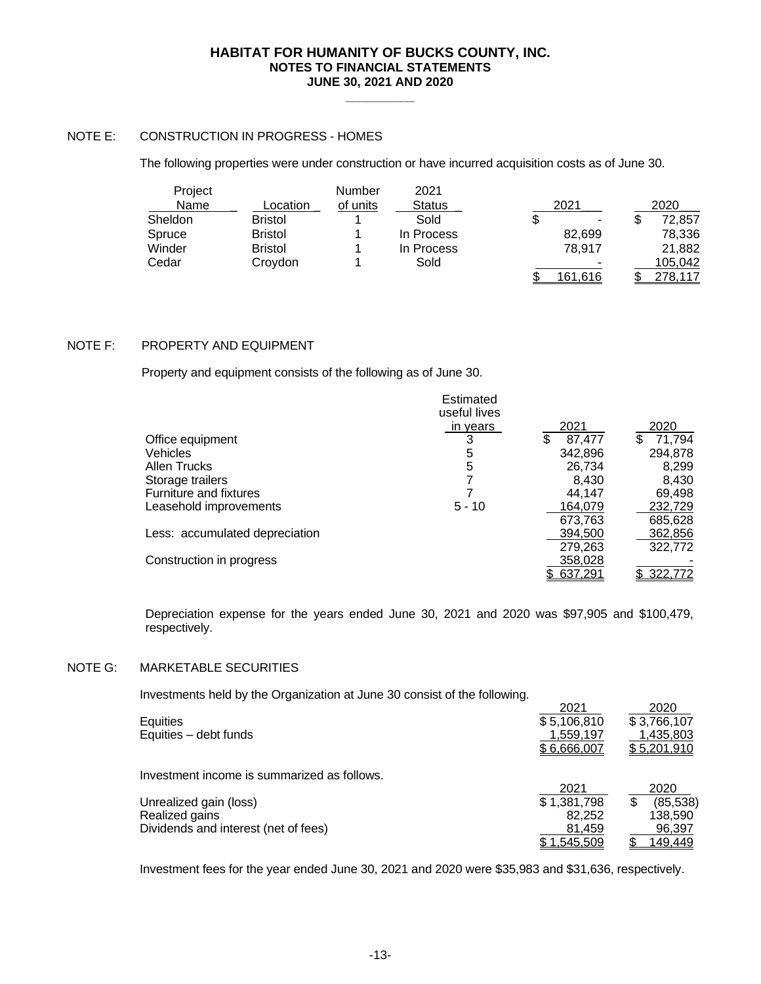**\_\_\_\_\_\_\_\_\_\_**

# NOTE E: CONSTRUCTION IN PROGRESS - HOMES

The following properties were under construction or have incurred acquisition costs as of June 30.

| Project |                | Number   | 2021       |                |    |                 |
|---------|----------------|----------|------------|----------------|----|-----------------|
| Name    | Location       | of units | Status     | 2021           |    | 2020            |
| Sheldon | <b>Bristol</b> |          | Sold       | \$<br>-        | ъD | 72,857          |
| Spruce  | <b>Bristol</b> |          | In Process | 82.699         |    | 78.336          |
| Winder  | <b>Bristol</b> |          | In Process | 78.917         |    | 21,882          |
| Cedar   | Croydon        |          | Sold       |                |    | 105,042         |
|         |                |          |            | <u>161,616</u> |    | <u> 278,117</u> |

# NOTE F: PROPERTY AND EQUIPMENT

Property and equipment consists of the following as of June 30.

|                                | Estimated<br>useful lives |              |             |
|--------------------------------|---------------------------|--------------|-------------|
|                                | in years                  | 2021         | 2020        |
| Office equipment               |                           | \$<br>87.477 | 71,794<br>S |
| <b>Vehicles</b>                | 5                         | 342,896      | 294,878     |
| Allen Trucks                   | 5                         | 26,734       | 8,299       |
| Storage trailers               |                           | 8.430        | 8,430       |
| Furniture and fixtures         |                           | 44.147       | 69,498      |
| Leasehold improvements         | $5 - 10$                  | 164,079      | 232,729     |
|                                |                           | 673.763      | 685,628     |
| Less: accumulated depreciation |                           | 394,500      | 362,856     |
|                                |                           | 279,263      | 322,772     |
| Construction in progress       |                           | 358,028      |             |
|                                |                           | 637,291      | 322,772     |

Depreciation expense for the years ended June 30, 2021 and 2020 was \$97,905 and \$100,479, respectively.

# NOTE G: MARKETABLE SECURITIES

Investments held by the Organization at June 30 consist of the following.

| Equities<br>Equities - debt funds           | 2021<br>\$5,106,810<br>1,559,197<br>\$6,666,007 | 2020<br>\$3,766,107<br>1,435,803<br>\$5,201,910 |
|---------------------------------------------|-------------------------------------------------|-------------------------------------------------|
| Investment income is summarized as follows. |                                                 |                                                 |
| Unrealized gain (loss)                      | 2021<br>\$1,381,798                             | 2020<br>(85, 538)<br>\$                         |
| Realized gains                              | 82.252                                          | 138,590                                         |
| Dividends and interest (net of fees)        | 81,459                                          | 96,397                                          |
|                                             | \$1.545.509                                     | <u>149,449</u>                                  |

Investment fees for the year ended June 30, 2021 and 2020 were \$35,983 and \$31,636, respectively.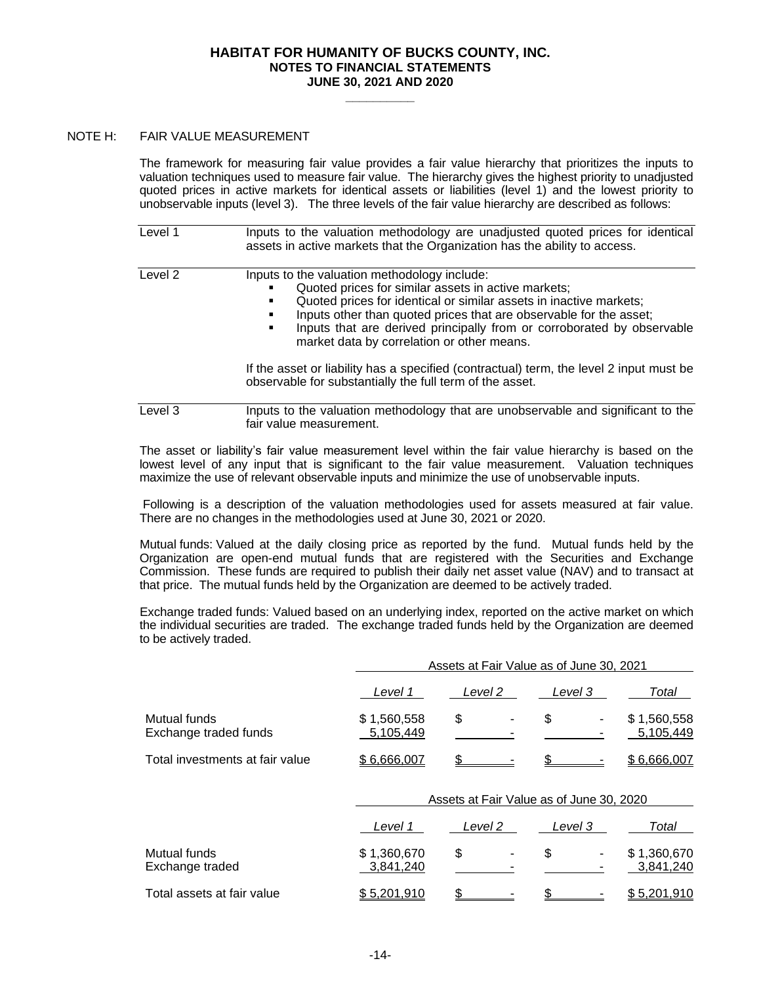**\_\_\_\_\_\_\_\_\_\_**

## NOTE H: FAIR VALUE MEASUREMENT

The framework for measuring fair value provides a fair value hierarchy that prioritizes the inputs to valuation techniques used to measure fair value. The hierarchy gives the highest priority to unadjusted quoted prices in active markets for identical assets or liabilities (level 1) and the lowest priority to unobservable inputs (level 3). The three levels of the fair value hierarchy are described as follows:

| Level 1 | Inputs to the valuation methodology are unadjusted quoted prices for identical<br>assets in active markets that the Organization has the ability to access.                                                                                                                                                                                                                  |
|---------|------------------------------------------------------------------------------------------------------------------------------------------------------------------------------------------------------------------------------------------------------------------------------------------------------------------------------------------------------------------------------|
| Level 2 | Inputs to the valuation methodology include:<br>Quoted prices for similar assets in active markets;<br>Quoted prices for identical or similar assets in inactive markets;<br>Inputs other than quoted prices that are observable for the asset;<br>Inputs that are derived principally from or corroborated by observable<br>٠<br>market data by correlation or other means. |
|         | If the asset or liability has a specified (contractual) term, the level 2 input must be<br>observable for substantially the full term of the asset.                                                                                                                                                                                                                          |
| Level 3 | Inputs to the valuation methodology that are unobservable and significant to the<br>fair value measurement.                                                                                                                                                                                                                                                                  |

The asset or liability's fair value measurement level within the fair value hierarchy is based on the lowest level of any input that is significant to the fair value measurement. Valuation techniques maximize the use of relevant observable inputs and minimize the use of unobservable inputs.

Following is a description of the valuation methodologies used for assets measured at fair value. There are no changes in the methodologies used at June 30, 2021 or 2020.

Mutual funds: Valued at the daily closing price as reported by the fund. Mutual funds held by the Organization are open-end mutual funds that are registered with the Securities and Exchange Commission. These funds are required to publish their daily net asset value (NAV) and to transact at that price. The mutual funds held by the Organization are deemed to be actively traded.

Exchange traded funds: Valued based on an underlying index, reported on the active market on which the individual securities are traded. The exchange traded funds held by the Organization are deemed to be actively traded.

|                                       | Assets at Fair Value as of June 30, 2021 |                                          |         |                          |
|---------------------------------------|------------------------------------------|------------------------------------------|---------|--------------------------|
|                                       | Level 1                                  | Level 2                                  | Level 3 | Total                    |
| Mutual funds<br>Exchange traded funds | \$1,560,558<br>5,105,449                 | \$                                       | \$      | \$1,560,558<br>5,105,449 |
| Total investments at fair value       | \$6,666,007                              |                                          |         | \$6,666,007              |
|                                       |                                          | Assets at Fair Value as of June 30, 2020 |         |                          |
|                                       | Level 1                                  | Level 2                                  | Level 3 | Total                    |
| Mutual funds<br>Exchange traded       | \$1,360,670<br>3,841,240                 | \$                                       | \$      | \$1,360,670<br>3,841,240 |
| Total assets at fair value            | \$5,201,910                              |                                          |         | \$5,201,910              |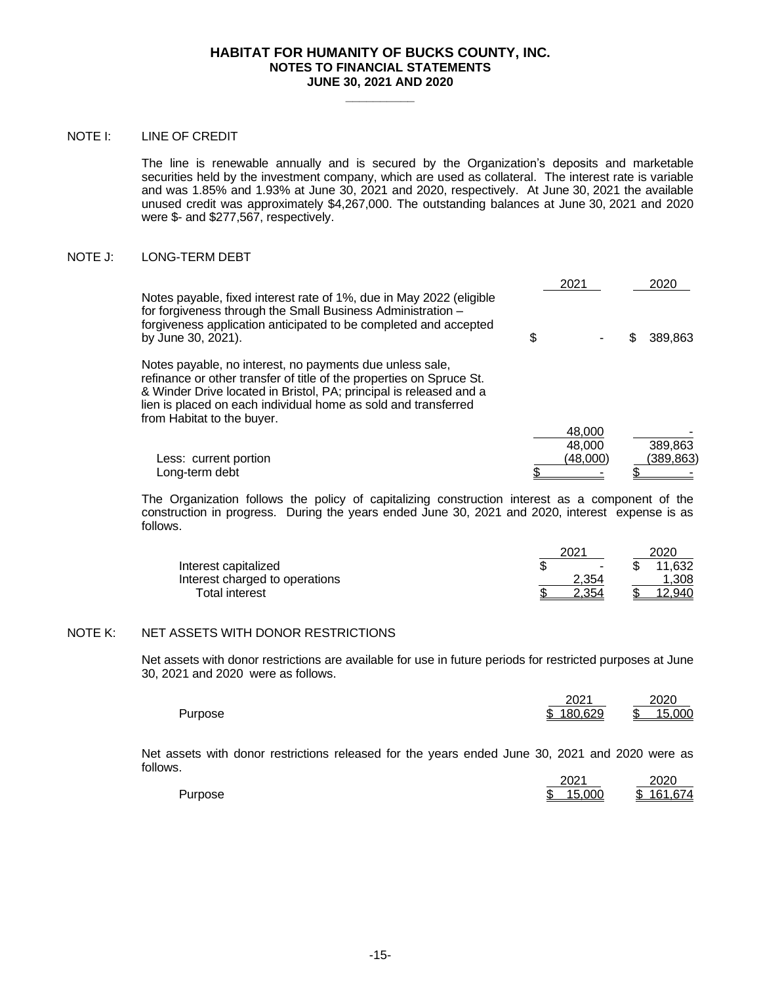**\_\_\_\_\_\_\_\_\_\_**

## NOTE I: LINE OF CREDIT

The line is renewable annually and is secured by the Organization's deposits and marketable securities held by the investment company, which are used as collateral. The interest rate is variable and was 1.85% and 1.93% at June 30, 2021 and 2020, respectively. At June 30, 2021 the available unused credit was approximately \$4,267,000. The outstanding balances at June 30, 2021 and 2020 were \$- and \$277,567, respectively.

## NOTE J: LONG-TERM DEBT

|                                                                                                                                                                                                                                                                                                        | 2021               |   | 2020                 |
|--------------------------------------------------------------------------------------------------------------------------------------------------------------------------------------------------------------------------------------------------------------------------------------------------------|--------------------|---|----------------------|
| Notes payable, fixed interest rate of 1%, due in May 2022 (eligible<br>for forgiveness through the Small Business Administration -<br>forgiveness application anticipated to be completed and accepted<br>by June 30, 2021).                                                                           | \$                 |   | 389.863              |
| Notes payable, no interest, no payments due unless sale,<br>refinance or other transfer of title of the properties on Spruce St.<br>& Winder Drive located in Bristol, PA; principal is released and a<br>lien is placed on each individual home as sold and transferred<br>from Habitat to the buyer. |                    |   |                      |
|                                                                                                                                                                                                                                                                                                        | 48.000             |   |                      |
| Less: current portion                                                                                                                                                                                                                                                                                  | 48,000<br>(48,000) |   | 389,863<br>(389,863) |
| Long-term debt                                                                                                                                                                                                                                                                                         |                    | ጦ |                      |

The Organization follows the policy of capitalizing construction interest as a component of the construction in progress. During the years ended June 30, 2021 and 2020, interest expense is as follows.

|                                | 2021  | 2020        |
|--------------------------------|-------|-------------|
| Interest capitalized           |       | 11,632<br>٠ |
| Interest charged to operations | 2.354 | 1.308       |
| <b>Total interest</b>          | 2.354 | 12.940      |

## NOTE K: NET ASSETS WITH DONOR RESTRICTIONS

Net assets with donor restrictions are available for use in future periods for restricted purposes at June 30, 2021 and 2020 were as follows.

|         | 2021      | 2020          |
|---------|-----------|---------------|
| Purpose | \$180.629 | 15.000<br>\$. |

Net assets with donor restrictions released for the years ended June 30, 2021 and 2020 were as follows.

|         | 2021              | 2020               |
|---------|-------------------|--------------------|
| Purpose | 15.000<br>ጦ<br>л. | 161 674<br>Ъ.<br>. |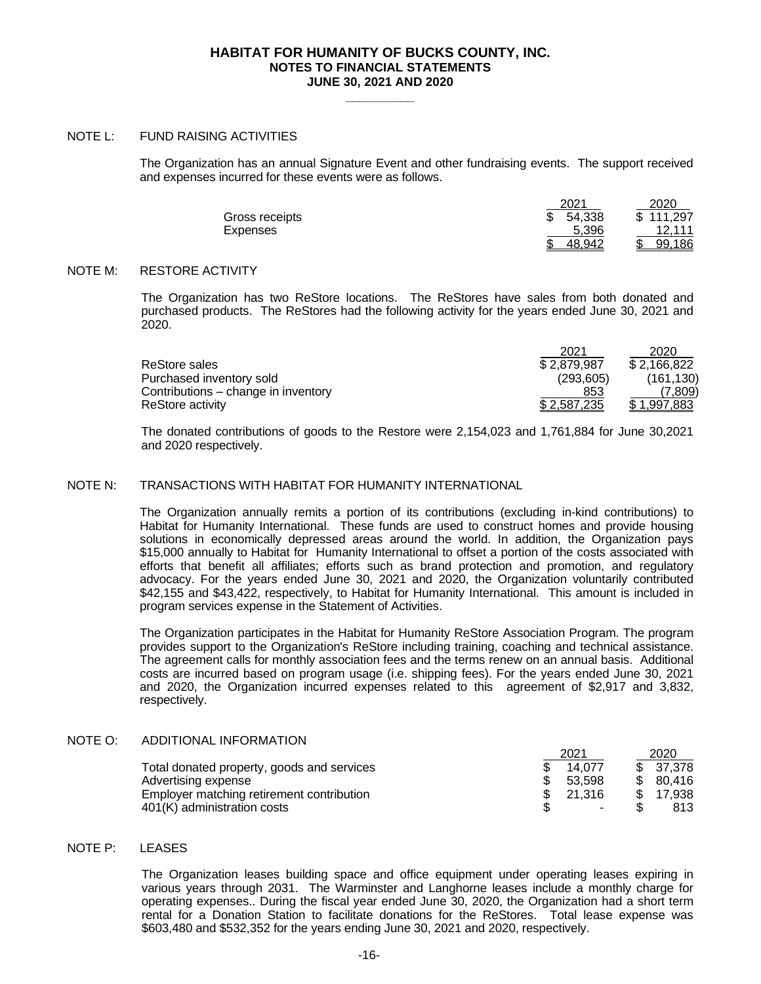**\_\_\_\_\_\_\_\_\_\_**

## NOTE L: FUND RAISING ACTIVITIES

The Organization has an annual Signature Event and other fundraising events. The support received and expenses incurred for these events were as follows.

|                | 2021   | 2020      |
|----------------|--------|-----------|
| Gross receipts | 54,338 | \$111,297 |
| Expenses       | 5.396  | 12.111    |
|                | 48.942 | 99.186    |

## NOTE M: RESTORE ACTIVITY

The Organization has two ReStore locations. The ReStores have sales from both donated and purchased products. The ReStores had the following activity for the years ended June 30, 2021 and 2020.

|                                     | 2021        | 2020               |
|-------------------------------------|-------------|--------------------|
| ReStore sales                       | \$2,879,987 | \$2,166,822        |
| Purchased inventory sold            | (293.605)   | (161, 130)         |
| Contributions – change in inventory | 853         | (7.809)            |
| ReStore activity                    | \$2.587.235 | <u>\$1,997,883</u> |

The donated contributions of goods to the Restore were 2,154,023 and 1,761,884 for June 30,2021 and 2020 respectively.

## NOTE N: TRANSACTIONS WITH HABITAT FOR HUMANITY INTERNATIONAL

The Organization annually remits a portion of its contributions (excluding in-kind contributions) to Habitat for Humanity International. These funds are used to construct homes and provide housing solutions in economically depressed areas around the world. In addition, the Organization pays \$15,000 annually to Habitat for Humanity International to offset a portion of the costs associated with efforts that benefit all affiliates; efforts such as brand protection and promotion, and regulatory advocacy. For the years ended June 30, 2021 and 2020, the Organization voluntarily contributed \$42,155 and \$43,422, respectively, to Habitat for Humanity International. This amount is included in program services expense in the Statement of Activities.

The Organization participates in the Habitat for Humanity ReStore Association Program. The program provides support to the Organization's ReStore including training, coaching and technical assistance. The agreement calls for monthly association fees and the terms renew on an annual basis. Additional costs are incurred based on program usage (i.e. shipping fees). For the years ended June 30, 2021 and 2020, the Organization incurred expenses related to this agreement of \$2,917 and 3,832, respectively.

## NOTE O: ADDITIONAL INFORMATION

|                                            | 2021   | 2020      |
|--------------------------------------------|--------|-----------|
| Total donated property, goods and services | 14.077 | \$37,378  |
| Advertising expense                        | 53.598 | \$ 80.416 |
| Employer matching retirement contribution  | 21.316 | 17.938    |
| 401(K) administration costs                | ٠      | 813       |

## NOTE P: LEASES

The Organization leases building space and office equipment under operating leases expiring in various years through 2031. The Warminster and Langhorne leases include a monthly charge for operating expenses.. During the fiscal year ended June 30, 2020, the Organization had a short term rental for a Donation Station to facilitate donations for the ReStores. Total lease expense was \$603,480 and \$532,352 for the years ending June 30, 2021 and 2020, respectively.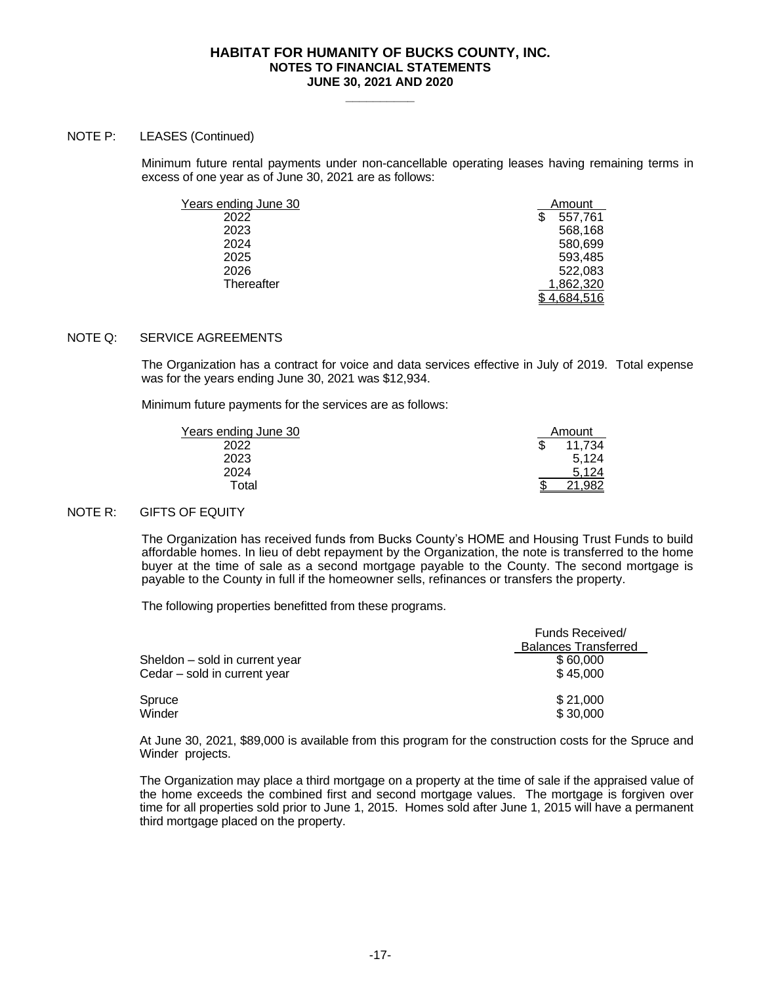**\_\_\_\_\_\_\_\_\_\_**

## NOTE P: LEASES (Continued)

Minimum future rental payments under non-cancellable operating leases having remaining terms in excess of one year as of June 30, 2021 are as follows:

| Years ending June 30 | Amount    |
|----------------------|-----------|
| 2022                 | 557,761   |
| 2023                 | 568,168   |
| 2024                 | 580,699   |
| 2025                 | 593.485   |
| 2026                 | 522.083   |
| Thereafter           | 1,862,320 |
|                      | 4.684.516 |

# NOTE Q: SERVICE AGREEMENTS

The Organization has a contract for voice and data services effective in July of 2019. Total expense was for the years ending June 30, 2021 was \$12,934.

Minimum future payments for the services are as follows:

| Years ending June 30 | Amount |
|----------------------|--------|
| 2022                 | 11.734 |
| 2023                 | 5,124  |
| 2024                 | 5.124  |
| Total                | .982   |
|                      |        |

## NOTE R: GIFTS OF EQUITY

The Organization has received funds from Bucks County's HOME and Housing Trust Funds to build affordable homes. In lieu of debt repayment by the Organization, the note is transferred to the home buyer at the time of sale as a second mortgage payable to the County. The second mortgage is payable to the County in full if the homeowner sells, refinances or transfers the property.

The following properties benefitted from these programs.

|                                | <b>Funds Received/</b><br><b>Balances Transferred</b> |
|--------------------------------|-------------------------------------------------------|
| Sheldon – sold in current year | \$60,000                                              |
| Cedar – sold in current year   | \$45,000                                              |
| Spruce                         | \$21,000                                              |
| Winder                         | \$30,000                                              |

At June 30, 2021, \$89,000 is available from this program for the construction costs for the Spruce and Winder projects.

The Organization may place a third mortgage on a property at the time of sale if the appraised value of the home exceeds the combined first and second mortgage values. The mortgage is forgiven over time for all properties sold prior to June 1, 2015. Homes sold after June 1, 2015 will have a permanent third mortgage placed on the property.